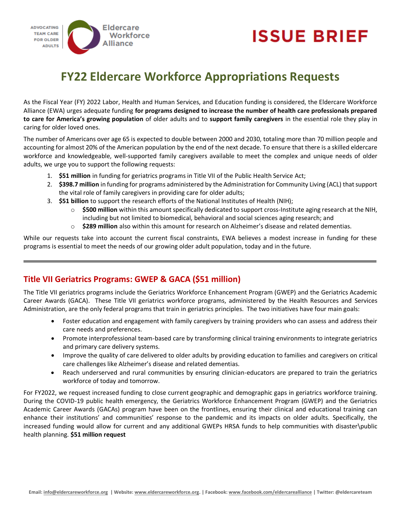

# **ISSUE BRIEF**

## **FY22 Eldercare Workforce Appropriations Requests**

As the Fiscal Year (FY) 2022 Labor, Health and Human Services, and Education funding is considered, the Eldercare Workforce Alliance (EWA) urges adequate funding **for programs designed to increase the number of health care professionals prepared to care for America's growing population** of older adults and to **support family caregivers** in the essential role they play in caring for older loved ones.

The number of Americans over age 65 is expected to double between 2000 and 2030, totaling more than 70 million people and accounting for almost 20% of the American population by the end of the next decade. To ensure that there is a skilled eldercare workforce and knowledgeable, well-supported family caregivers available to meet the complex and unique needs of older adults, we urge you to support the following requests:

- 1. **\$51 million** in funding for geriatrics programs in Title VII of the Public Health Service Act;
- 2. **\$398.7 million** in funding for programs administered by the Administration for Community Living (ACL) that support the vital role of family caregivers in providing care for older adults;
- 3. **\$51 billion** to support the research efforts of the National Institutes of Health (NIH);
	- o **\$500 million** within this amount specifically dedicated to support cross-Institute aging research at the NIH, including but not limited to biomedical, behavioral and social sciences aging research; and
	- o **\$289 million** also within this amount for research on Alzheimer's disease and related dementias.

While our requests take into account the current fiscal constraints, EWA believes a modest increase in funding for these programs is essential to meet the needs of our growing older adult population, today and in the future.

### **Title VII Geriatrics Programs: GWEP & GACA (\$51 million)**

The Title VII geriatrics programs include the Geriatrics Workforce Enhancement Program (GWEP) and the Geriatrics Academic Career Awards (GACA). These Title VII geriatrics workforce programs, administered by the Health Resources and Services Administration, are the only federal programs that train in geriatrics principles. The two initiatives have four main goals:

- Foster education and engagement with family caregivers by training providers who can assess and address their care needs and preferences.
- Promote interprofessional team-based care by transforming clinical training environments to integrate geriatrics and primary care delivery systems.
- Improve the quality of care delivered to older adults by providing education to families and caregivers on critical care challenges like Alzheimer's disease and related dementias.
- Reach underserved and rural communities by ensuring clinician-educators are prepared to train the geriatrics workforce of today and tomorrow.

For FY2022, we request increased funding to close current geographic and demographic gaps in geriatrics workforce training. During the COVID-19 public health emergency, the Geriatrics Workforce Enhancement Program (GWEP) and the Geriatrics Academic Career Awards (GACAs) program have been on the frontlines, ensuring their clinical and educational training can enhance their institutions' and communities' response to the pandemic and its impacts on older adults. Specifically, the increased funding would allow for current and any additional GWEPs HRSA funds to help communities with disaster\public health planning. **\$51 million request**